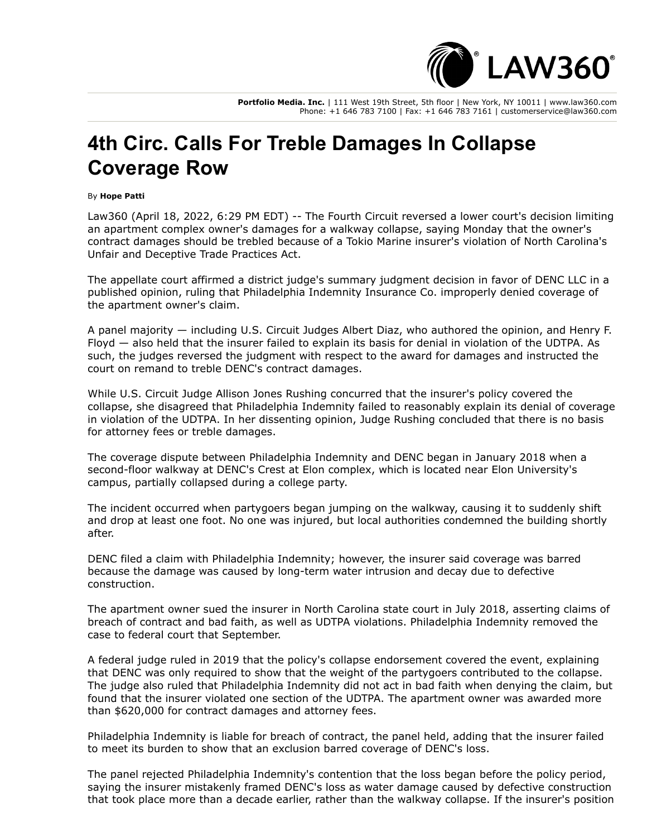

**Portfolio Media. Inc.** | 111 West 19th Street, 5th floor | New York, NY 10011 | www.law360.com Phone: +1 646 783 7100 | Fax: +1 646 783 7161 | customerservice@law360.com

## **4th Circ. Calls For Treble Damages In Collapse Coverage Row**

## By **Hope Patti**

Law360 (April 18, 2022, 6:29 PM EDT) -- The Fourth Circuit reversed a lower court's decision limiting an apartment complex owner's damages for a walkway collapse, saying Monday that the owner's contract damages should be trebled because of a Tokio Marine insurer's violation of North Carolina's Unfair and Deceptive Trade Practices Act.

The appellate court affirmed a district judge's summary judgment decision in favor of DENC LLC in a published opinion, ruling that Philadelphia Indemnity Insurance Co. improperly denied coverage of the apartment owner's claim.

A panel majority — including U.S. Circuit Judges Albert Diaz, who authored the opinion, and Henry F. Floyd — also held that the insurer failed to explain its basis for denial in violation of the UDTPA. As such, the judges reversed the judgment with respect to the award for damages and instructed the court on remand to treble DENC's contract damages.

While U.S. Circuit Judge Allison Jones Rushing concurred that the insurer's policy covered the collapse, she disagreed that Philadelphia Indemnity failed to reasonably explain its denial of coverage in violation of the UDTPA. In her dissenting opinion, Judge Rushing concluded that there is no basis for attorney fees or treble damages.

The coverage dispute between Philadelphia Indemnity and DENC began in January 2018 when a second-floor walkway at DENC's Crest at Elon complex, which is located near Elon University's campus, partially collapsed during a college party.

The incident occurred when partygoers began jumping on the walkway, causing it to suddenly shift and drop at least one foot. No one was injured, but local authorities condemned the building shortly after.

DENC filed a claim with Philadelphia Indemnity; however, the insurer said coverage was barred because the damage was caused by long-term water intrusion and decay due to defective construction.

The apartment owner sued the insurer in North Carolina state court in July 2018, asserting claims of breach of contract and bad faith, as well as UDTPA violations. Philadelphia Indemnity removed the case to federal court that September.

A federal judge ruled in 2019 that the policy's collapse endorsement covered the event, explaining that DENC was only required to show that the weight of the partygoers contributed to the collapse. The judge also ruled that Philadelphia Indemnity did not act in bad faith when denying the claim, but found that the insurer violated one section of the UDTPA. The apartment owner was awarded more than \$620,000 for contract damages and attorney fees.

Philadelphia Indemnity is liable for breach of contract, the panel held, adding that the insurer failed to meet its burden to show that an exclusion barred coverage of DENC's loss.

The panel rejected Philadelphia Indemnity's contention that the loss began before the policy period, saying the insurer mistakenly framed DENC's loss as water damage caused by defective construction that took place more than a decade earlier, rather than the walkway collapse. If the insurer's position